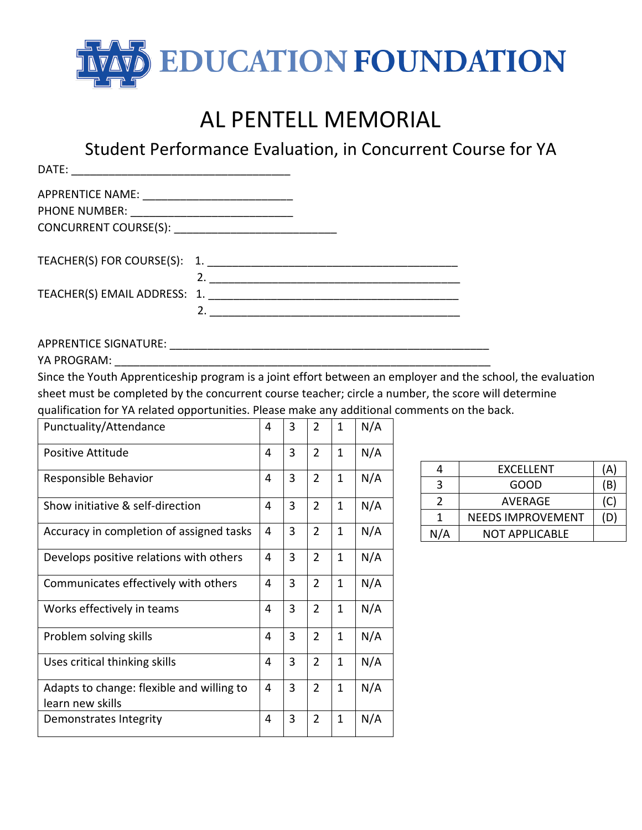

## AL PENTELL MEMORIAL

Student Performance Evaluation, in Concurrent Course for YA

| DATE:<br><u> 2001 - Jan Barat, martin da shekara 1950 - An tsa a shekara 1961 - An tsa a shekara 1961 - An tsa a shekara 1</u> |                  |  |  |
|--------------------------------------------------------------------------------------------------------------------------------|------------------|--|--|
|                                                                                                                                |                  |  |  |
|                                                                                                                                |                  |  |  |
|                                                                                                                                |                  |  |  |
|                                                                                                                                |                  |  |  |
|                                                                                                                                | $\overline{2}$ . |  |  |
| TEACHER(S) EMAIL ADDRESS: 1.                                                                                                   |                  |  |  |
|                                                                                                                                |                  |  |  |

APPRENTICE SIGNATURE: \_\_\_\_\_\_\_\_\_\_\_\_\_\_\_\_\_\_\_\_\_\_\_\_\_\_\_\_\_\_\_\_\_\_\_\_\_\_\_\_\_\_\_\_\_\_\_\_\_\_\_

YA PROGRAM:

Since the Youth Apprenticeship program is a joint effort between an employer and the school, the evaluation sheet must be completed by the concurrent course teacher; circle a number, the score will determine qualification for YA related opportunities. Please make any additional comments on the back.

| Punctuality/Attendance                                        |   | 3 | $\overline{2}$ | $\mathbf{1}$ | N/A |
|---------------------------------------------------------------|---|---|----------------|--------------|-----|
| <b>Positive Attitude</b>                                      |   | 3 | $\overline{2}$ | $\mathbf{1}$ | N/A |
| Responsible Behavior                                          |   | 3 | $\overline{2}$ | $\mathbf{1}$ | N/A |
| Show initiative & self-direction                              | 4 | 3 | $\overline{2}$ | $\mathbf{1}$ | N/A |
| Accuracy in completion of assigned tasks                      | 4 | 3 | $\overline{2}$ | $\mathbf{1}$ | N/A |
| Develops positive relations with others                       | 4 | 3 | $\overline{2}$ | $\mathbf{1}$ | N/A |
| Communicates effectively with others                          | 4 | 3 | $\overline{2}$ | $\mathbf{1}$ | N/A |
| Works effectively in teams                                    | 4 | 3 | $\overline{2}$ | $\mathbf{1}$ | N/A |
| Problem solving skills                                        | 4 | 3 | $\overline{2}$ | $\mathbf{1}$ | N/A |
| Uses critical thinking skills                                 | 4 | 3 | $\overline{2}$ | $\mathbf{1}$ | N/A |
| Adapts to change: flexible and willing to<br>learn new skills |   | 3 | $\overline{2}$ | $\mathbf{1}$ | N/A |
| Demonstrates Integrity                                        |   | 3 | $\overline{2}$ | 1            | N/A |

|     | EXCELLENT                | (A  |
|-----|--------------------------|-----|
| ર   | GOOD                     | (B) |
|     | AVERAGE                  | (C) |
|     | <b>NEEDS IMPROVEMENT</b> | Ð   |
| N/A | NOT APPLICABLE           |     |